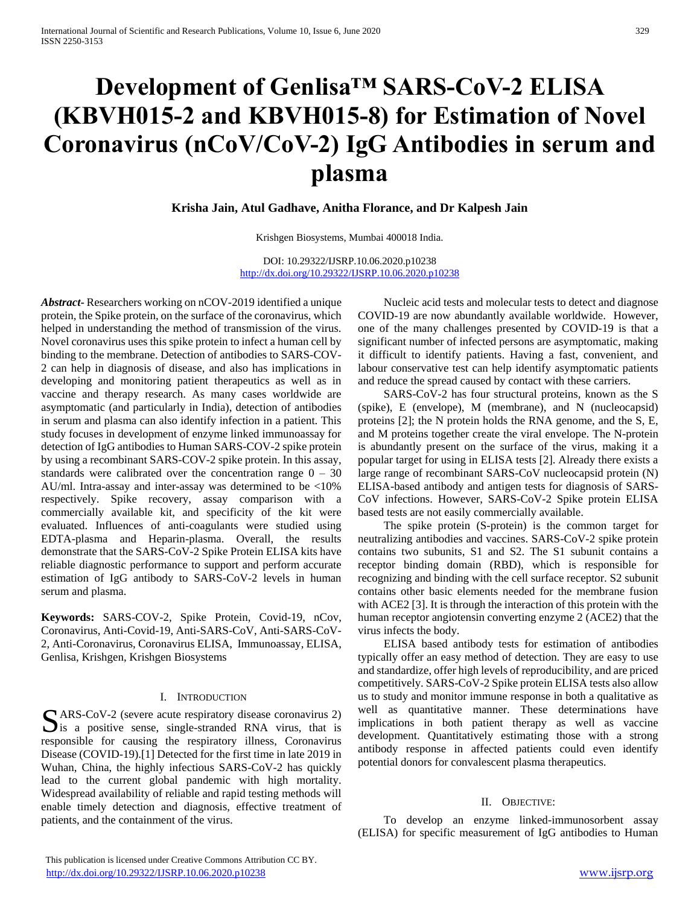# **Development of Genlisa™ SARS-CoV-2 ELISA (KBVH015-2 and KBVH015-8) for Estimation of Novel Coronavirus (nCoV/CoV-2) IgG Antibodies in serum and plasma**

**Krisha Jain, Atul Gadhave, Anitha Florance, and Dr Kalpesh Jain**

Krishgen Biosystems, Mumbai 400018 India.

DOI: 10.29322/IJSRP.10.06.2020.p10238 <http://dx.doi.org/10.29322/IJSRP.10.06.2020.p10238>

*Abstract***-** Researchers working on nCOV-2019 identified a unique protein, the Spike protein, on the surface of the coronavirus, which helped in understanding the method of transmission of the virus. Novel coronavirus uses this spike protein to infect a human cell by binding to the membrane. Detection of antibodies to SARS-COV-2 can help in diagnosis of disease, and also has implications in developing and monitoring patient therapeutics as well as in vaccine and therapy research. As many cases worldwide are asymptomatic (and particularly in India), detection of antibodies in serum and plasma can also identify infection in a patient. This study focuses in development of enzyme linked immunoassay for detection of IgG antibodies to Human SARS-COV-2 spike protein by using a recombinant SARS-COV-2 spike protein. In this assay, standards were calibrated over the concentration range  $0 - 30$ AU/ml. Intra-assay and inter-assay was determined to be <10% respectively. Spike recovery, assay comparison with a commercially available kit, and specificity of the kit were evaluated. Influences of anti-coagulants were studied using EDTA-plasma and Heparin-plasma. Overall, the results demonstrate that the SARS-CoV-2 Spike Protein ELISA kits have reliable diagnostic performance to support and perform accurate estimation of IgG antibody to SARS-CoV-2 levels in human serum and plasma.

**Keywords:** SARS-COV-2, Spike Protein, Covid-19, nCov, Coronavirus, Anti-Covid-19, Anti-SARS-CoV, Anti-SARS-CoV-2, Anti-Coronavirus, Coronavirus ELISA, Immunoassay, ELISA, Genlisa, Krishgen, Krishgen Biosystems

## I. INTRODUCTION

ARS-CoV-2 (severe acute respiratory disease coronavirus 2)  $\sum$ ARS-CoV-2 (severe acute respiratory disease coronavirus 2) is a positive sense, single-stranded RNA virus, that is responsible for causing the respiratory illness, Coronavirus Disease (COVID-19).[1] Detected for the first time in late 2019 in Wuhan, China, the highly infectious SARS-CoV-2 has quickly lead to the current global pandemic with high mortality. Widespread availability of reliable and rapid testing methods will enable timely detection and diagnosis, effective treatment of patients, and the containment of the virus.

 Nucleic acid tests and molecular tests to detect and diagnose COVID-19 are now abundantly available worldwide. However, one of the many challenges presented by COVID-19 is that a significant number of infected persons are asymptomatic, making it difficult to identify patients. Having a fast, convenient, and labour conservative test can help identify asymptomatic patients and reduce the spread caused by contact with these carriers.

 SARS-CoV-2 has four structural proteins, known as the S (spike), E (envelope), M (membrane), and N (nucleocapsid) proteins [2]; the N protein holds the RNA genome, and the S, E, and M proteins together create the viral envelope. The N-protein is abundantly present on the surface of the virus, making it a popular target for using in ELISA tests [2]. Already there exists a large range of recombinant SARS-CoV nucleocapsid protein (N) ELISA-based antibody and antigen tests for diagnosis of SARS-CoV infections. However, SARS-CoV-2 Spike protein ELISA based tests are not easily commercially available.

 The spike protein (S-protein) is the common target for neutralizing antibodies and vaccines. SARS-CoV-2 spike protein contains two subunits, S1 and S2. The S1 subunit contains a receptor binding domain (RBD), which is responsible for recognizing and binding with the cell surface receptor. S2 subunit contains other basic elements needed for the membrane fusion with ACE2 [3]. It is through the interaction of this protein with the human receptor angiotensin converting enzyme 2 (ACE2) that the virus infects the body.

 ELISA based antibody tests for estimation of antibodies typically offer an easy method of detection. They are easy to use and standardize, offer high levels of reproducibility, and are priced competitively. SARS-CoV-2 Spike protein ELISA tests also allow us to study and monitor immune response in both a qualitative as well as quantitative manner. These determinations have implications in both patient therapy as well as vaccine development. Quantitatively estimating those with a strong antibody response in affected patients could even identify potential donors for convalescent plasma therapeutics.

## II. OBJECTIVE:

 To develop an enzyme linked-immunosorbent assay (ELISA) for specific measurement of IgG antibodies to Human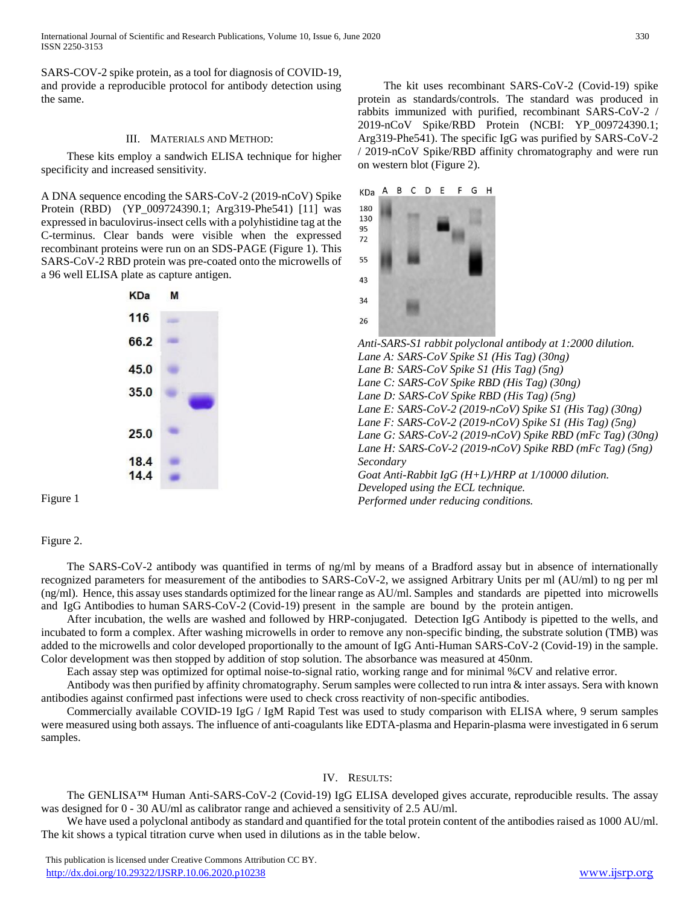International Journal of Scientific and Research Publications, Volume 10, Issue 6, June 2020 330 ISSN 2250-3153

SARS-COV-2 spike protein, as a tool for diagnosis of COVID-19, and provide a reproducible protocol for antibody detection using the same.

#### III. MATERIALS AND METHOD:

 These kits employ a sandwich ELISA technique for higher specificity and increased sensitivity.

A DNA sequence encoding the SARS-CoV-2 (2019-nCoV) Spike Protein (RBD) (YP\_009724390.1; Arg319-Phe541) [11] was expressed in baculovirus-insect cells with a polyhistidine tag at the C-terminus. Clear bands were visible when the expressed recombinant proteins were run on an SDS-PAGE (Figure 1). This SARS-CoV-2 RBD protein was pre-coated onto the microwells of a 96 well ELISA plate as capture antigen.



 The kit uses recombinant SARS-CoV-2 (Covid-19) spike protein as standards/controls. The standard was produced in rabbits immunized with purified, recombinant SARS-CoV-2 / 2019-nCoV Spike/RBD Protein (NCBI: YP\_009724390.1; Arg319-Phe541). The specific IgG was purified by SARS-CoV-2 / 2019-nCoV Spike/RBD affinity chromatography and were run on western blot (Figure 2).



Figure 1

Figure 2.

 The SARS-CoV-2 antibody was quantified in terms of ng/ml by means of a Bradford assay but in absence of internationally recognized parameters for measurement of the antibodies to SARS-CoV-2, we assigned Arbitrary Units per ml (AU/ml) to ng per ml (ng/ml). Hence, this assay uses standards optimized for the linear range as AU/ml. Samples and standards are pipetted into microwells and IgG Antibodies to human SARS-CoV-2 (Covid-19) present in the sample are bound by the protein antigen.

 After incubation, the wells are washed and followed by HRP-conjugated. Detection IgG Antibody is pipetted to the wells, and incubated to form a complex. After washing microwells in order to remove any non-specific binding, the substrate solution (TMB) was added to the microwells and color developed proportionally to the amount of IgG Anti-Human SARS-CoV-2 (Covid-19) in the sample. Color development was then stopped by addition of stop solution. The absorbance was measured at 450nm.

Each assay step was optimized for optimal noise-to-signal ratio, working range and for minimal %CV and relative error.

 Antibody was then purified by affinity chromatography. Serum samples were collected to run intra & inter assays. Sera with known antibodies against confirmed past infections were used to check cross reactivity of non-specific antibodies.

 Commercially available COVID-19 IgG / IgM Rapid Test was used to study comparison with ELISA where, 9 serum samples were measured using both assays. The influence of anti-coagulants like EDTA-plasma and Heparin-plasma were investigated in 6 serum samples.

IV. RESULTS:

 The GENLISA™ Human Anti-SARS-CoV-2 (Covid-19) IgG ELISA developed gives accurate, reproducible results. The assay was designed for 0 - 30 AU/ml as calibrator range and achieved a sensitivity of 2.5 AU/ml.

 We have used a polyclonal antibody as standard and quantified for the total protein content of the antibodies raised as 1000 AU/ml. The kit shows a typical titration curve when used in dilutions as in the table below.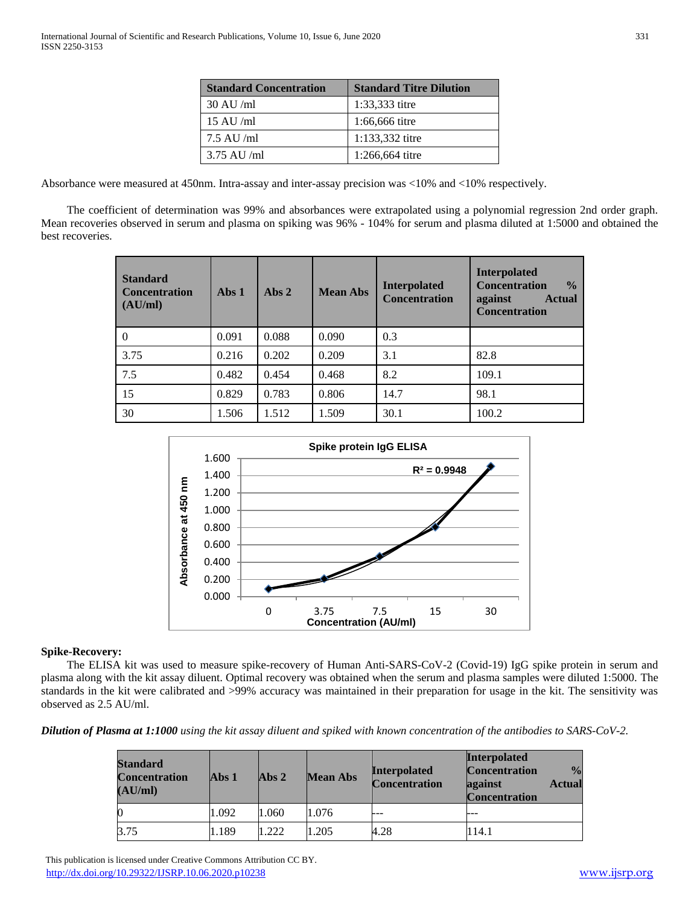| <b>Standard Concentration</b> | <b>Standard Titre Dilution</b> |
|-------------------------------|--------------------------------|
| $30 \text{ AU/m}$             | 1:33,333 titre                 |
| $15 \text{ AU/m}$             | 1:66,666 titre                 |
| $7.5$ AU /ml                  | 1:133,332 titre                |
| $3.75$ AU /ml                 | 1:266,664 titre                |

Absorbance were measured at 450nm. Intra-assay and inter-assay precision was <10% and <10% respectively.

 The coefficient of determination was 99% and absorbances were extrapolated using a polynomial regression 2nd order graph. Mean recoveries observed in serum and plasma on spiking was 96% - 104% for serum and plasma diluted at 1:5000 and obtained the best recoveries.

| <b>Standard</b><br><b>Concentration</b><br>(AU/ml) | Abs 1 | Abs $2$ | <b>Mean Abs</b> | <b>Interpolated</b><br><b>Concentration</b> | <b>Interpolated</b><br><b>Concentration</b><br>$\frac{0}{0}$<br>against<br><b>Actual</b><br><b>Concentration</b> |
|----------------------------------------------------|-------|---------|-----------------|---------------------------------------------|------------------------------------------------------------------------------------------------------------------|
| $\Omega$                                           | 0.091 | 0.088   | 0.090           | 0.3                                         |                                                                                                                  |
| 3.75                                               | 0.216 | 0.202   | 0.209           | 3.1                                         | 82.8                                                                                                             |
| 7.5                                                | 0.482 | 0.454   | 0.468           | 8.2                                         | 109.1                                                                                                            |
| 15                                                 | 0.829 | 0.783   | 0.806           | 14.7                                        | 98.1                                                                                                             |
| 30                                                 | 1.506 | 1.512   | 1.509           | 30.1                                        | 100.2                                                                                                            |



## **Spike-Recovery:**

 The ELISA kit was used to measure spike-recovery of Human Anti-SARS-CoV-2 (Covid-19) IgG spike protein in serum and plasma along with the kit assay diluent. Optimal recovery was obtained when the serum and plasma samples were diluted 1:5000. The standards in the kit were calibrated and >99% accuracy was maintained in their preparation for usage in the kit. The sensitivity was observed as 2.5 AU/ml.

*Dilution of Plasma at 1:1000 using the kit assay diluent and spiked with known concentration of the antibodies to SARS-CoV-2.*

| <b>Standard</b><br><b>Concentration</b><br>(AU/ml) | $Abs1$ | Abs $2$ | <b>Mean Abs</b> | <b>Interpolated</b><br><b>Concentration</b> | <b>Interpolated</b><br><b>Concentration</b><br>$\frac{0}{\alpha}$<br>against<br><b>Actual</b><br><b>Concentration</b> |
|----------------------------------------------------|--------|---------|-----------------|---------------------------------------------|-----------------------------------------------------------------------------------------------------------------------|
|                                                    | 1.092  | 1.060   | 1.076           | ---                                         |                                                                                                                       |
| 3.75                                               | 1.189  | 1.222   | 1.205           | 4.28                                        | 114.1                                                                                                                 |

 This publication is licensed under Creative Commons Attribution CC BY. <http://dx.doi.org/10.29322/IJSRP.10.06.2020.p10238> [www.ijsrp.org](http://ijsrp.org/)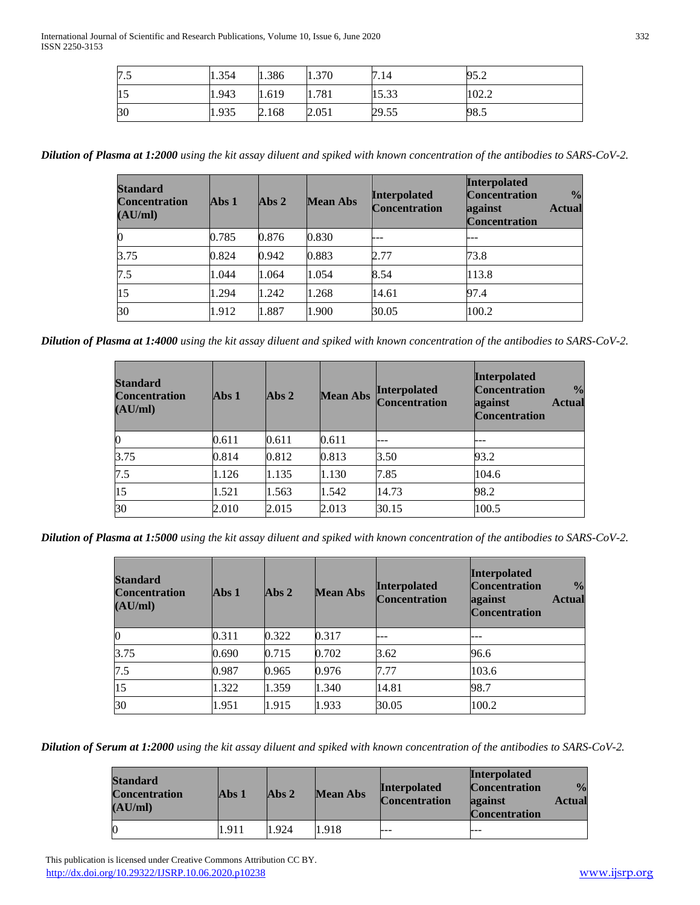| 7.5 | 1.354 | 1.386 | 1.370 | 7.14  | 95.2  |
|-----|-------|-------|-------|-------|-------|
| 15  | 1.943 | 1.619 | 1.781 | 15.33 | 102.2 |
| 30  | 1.935 | 2.168 | 2.051 | 29.55 | 98.5  |

*Dilution of Plasma at 1:2000 using the kit assay diluent and spiked with known concentration of the antibodies to SARS-CoV-2.*

| <b>Standard</b><br><b>Concentration</b><br>(AU/ml) | Abs <sub>1</sub> | Abs $2$ | <b>Mean Abs</b> | <b>Interpolated</b><br><b>Concentration</b> | <b>Interpolated</b><br><b>Concentration</b><br>$\frac{0}{0}$<br>against<br><b>Actual</b><br><b>Concentration</b> |
|----------------------------------------------------|------------------|---------|-----------------|---------------------------------------------|------------------------------------------------------------------------------------------------------------------|
|                                                    | 0.785            | 0.876   | 0.830           | ---                                         |                                                                                                                  |
| 3.75                                               | 0.824            | 0.942   | 0.883           | 2.77                                        | 73.8                                                                                                             |
| 7.5                                                | 1.044            | 1.064   | 1.054           | 8.54                                        | 113.8                                                                                                            |
| 15                                                 | 1.294            | 1.242   | 1.268           | 14.61                                       | 97.4                                                                                                             |
| 30                                                 | 1.912            | 1.887   | 1.900           | 30.05                                       | 100.2                                                                                                            |

*Dilution of Plasma at 1:4000 using the kit assay diluent and spiked with known concentration of the antibodies to SARS-CoV-2.*

| <b>Standard</b><br><b>Concentration</b><br>(AU/ml) | Abs <sub>1</sub> | Abs <sub>2</sub> | <b>Mean Abs</b> | <b>Interpolated</b><br><b>Concentration</b> | <b>Interpolated</b><br><b>Concentration</b><br>$\frac{0}{0}$<br>against<br><b>Actual</b><br><b>Concentration</b> |
|----------------------------------------------------|------------------|------------------|-----------------|---------------------------------------------|------------------------------------------------------------------------------------------------------------------|
|                                                    | 0.611            | 0.611            | 0.611           |                                             |                                                                                                                  |
| 3.75                                               | 0.814            | 0.812            | 0.813           | 3.50                                        | 93.2                                                                                                             |
| 7.5                                                | 1.126            | 1.135            | 1.130           | 7.85                                        | 104.6                                                                                                            |
| 15                                                 | 1.521            | 1.563            | 1.542           | 14.73                                       | 98.2                                                                                                             |
| 30                                                 | 2.010            | 2.015            | 2.013           | 30.15                                       | 100.5                                                                                                            |

*Dilution of Plasma at 1:5000 using the kit assay diluent and spiked with known concentration of the antibodies to SARS-CoV-2.*

| <b>Standard</b><br><b>Concentration</b><br>(AU/ml) | Abs <sub>1</sub> | Abs2  | <b>Mean Abs</b> | <b>Interpolated</b><br><b>Concentration</b> | <b>Interpolated</b><br>$\frac{1}{2}$<br><b>Concentration</b><br><b>Actual</b><br>against<br><b>Concentration</b> |
|----------------------------------------------------|------------------|-------|-----------------|---------------------------------------------|------------------------------------------------------------------------------------------------------------------|
| 0                                                  | 0.311            | 0.322 | 0.317           |                                             |                                                                                                                  |
| 3.75                                               | 0.690            | 0.715 | 0.702           | 3.62                                        | 96.6                                                                                                             |
| 7.5                                                | 0.987            | 0.965 | 0.976           | 7.77                                        | 103.6                                                                                                            |
| 15                                                 | 1.322            | 1.359 | 1.340           | 14.81                                       | 98.7                                                                                                             |
| 30                                                 | 1.951            | 1.915 | 1.933           | 30.05                                       | 100.2                                                                                                            |

*Dilution of Serum at 1:2000 using the kit assay diluent and spiked with known concentration of the antibodies to SARS-CoV-2.*

| <b>Standard</b><br><b>Concentration</b><br>(AU/ml) | Abs <sub>1</sub> | Abs <sub>2</sub> | <b>Mean Abs</b> | <b>Interpolated</b><br><b>Concentration</b> | <b>Interpolated</b><br><b>Concentration</b><br>against<br><b>Concentration</b> | $\frac{0}{\alpha}$<br><b>Actual</b> |
|----------------------------------------------------|------------------|------------------|-----------------|---------------------------------------------|--------------------------------------------------------------------------------|-------------------------------------|
|                                                    | 1.911            | 1.924            | 1.918           | $- - -$                                     |                                                                                |                                     |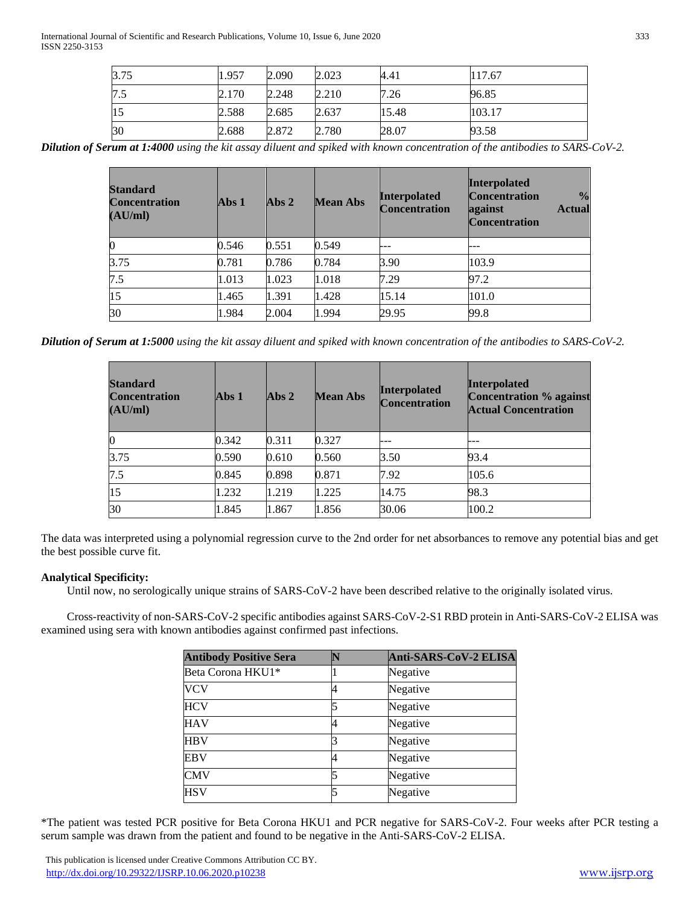International Journal of Scientific and Research Publications, Volume 10, Issue 6, June 2020 333 ISSN 2250-3153

| 3.75 | 1.957 | 2.090 | 2.023 | 4.41  | 117.67 |
|------|-------|-------|-------|-------|--------|
| 7.5  | 2.170 | 2.248 | 2.210 | 7.26  | 96.85  |
| 15   | 2.588 | 2.685 | 2.637 | 15.48 | 103.17 |
| 30   | 2.688 | 2.872 | 2.780 | 28.07 | 93.58  |

*Dilution of Serum at 1:4000 using the kit assay diluent and spiked with known concentration of the antibodies to SARS-CoV-2.*

| <b>Standard</b><br><b>Concentration</b><br>(AU/ml) | Abs $1$ | Abs <sub>2</sub> | <b>Mean Abs</b> | <b>Interpolated</b><br><b>Concentration</b> | <b>Interpolated</b><br><b>Concentration</b><br>$\frac{0}{0}$<br>against<br><b>Actual</b><br><b>Concentration</b> |
|----------------------------------------------------|---------|------------------|-----------------|---------------------------------------------|------------------------------------------------------------------------------------------------------------------|
| $\boldsymbol{0}$                                   | 0.546   | 0.551            | 0.549           |                                             |                                                                                                                  |
| 3.75                                               | 0.781   | 0.786            | 0.784           | 3.90                                        | 103.9                                                                                                            |
| 7.5                                                | 1.013   | 1.023            | 1.018           | 7.29                                        | 97.2                                                                                                             |
| 15                                                 | 1.465   | 1.391            | 1.428           | 15.14                                       | 101.0                                                                                                            |
| 30                                                 | 1.984   | 2.004            | 1.994           | 29.95                                       | 99.8                                                                                                             |

*Dilution of Serum at 1:5000 using the kit assay diluent and spiked with known concentration of the antibodies to SARS-CoV-2.*

| <b>Standard</b><br><b>Concentration</b><br>(AU/ml) | Abs <sub>1</sub> | Abs2  | <b>Mean Abs</b> | <b>Interpolated</b><br>Concentration | <b>Interpolated</b><br><b>Concentration % against</b><br><b>Actual Concentration</b> |
|----------------------------------------------------|------------------|-------|-----------------|--------------------------------------|--------------------------------------------------------------------------------------|
|                                                    | 0.342            | 0.311 | 0.327           |                                      |                                                                                      |
| 3.75                                               | 0.590            | 0.610 | 0.560           | 3.50                                 | 93.4                                                                                 |
| 7.5                                                | 0.845            | 0.898 | 0.871           | 7.92                                 | 105.6                                                                                |
| 15                                                 | 1.232            | 1.219 | 1.225           | 14.75                                | 98.3                                                                                 |
| 30                                                 | 1.845            | 1.867 | 1.856           | 30.06                                | 100.2                                                                                |

The data was interpreted using a polynomial regression curve to the 2nd order for net absorbances to remove any potential bias and get the best possible curve fit.

# **Analytical Specificity:**

Until now, no serologically unique strains of SARS-CoV-2 have been described relative to the originally isolated virus.

 Cross-reactivity of non-SARS-CoV-2 specific antibodies against SARS-CoV-2-S1 RBD protein in Anti-SARS-CoV-2 ELISA was examined using sera with known antibodies against confirmed past infections.

| <b>Antibody Positive Sera</b> | Anti-SARS-CoV-2 ELISA |
|-------------------------------|-----------------------|
| Beta Corona HKU1*             | Negative              |
| <b>VCV</b>                    | Negative              |
| <b>HCV</b>                    | Negative              |
| <b>HAV</b>                    | Negative              |
| <b>HBV</b>                    | Negative              |
| <b>EBV</b>                    | Negative              |
| <b>CMV</b>                    | Negative              |
| <b>HSV</b>                    | Negative              |

\*The patient was tested PCR positive for Beta Corona HKU1 and PCR negative for SARS-CoV-2. Four weeks after PCR testing a serum sample was drawn from the patient and found to be negative in the Anti-SARS-CoV-2 ELISA.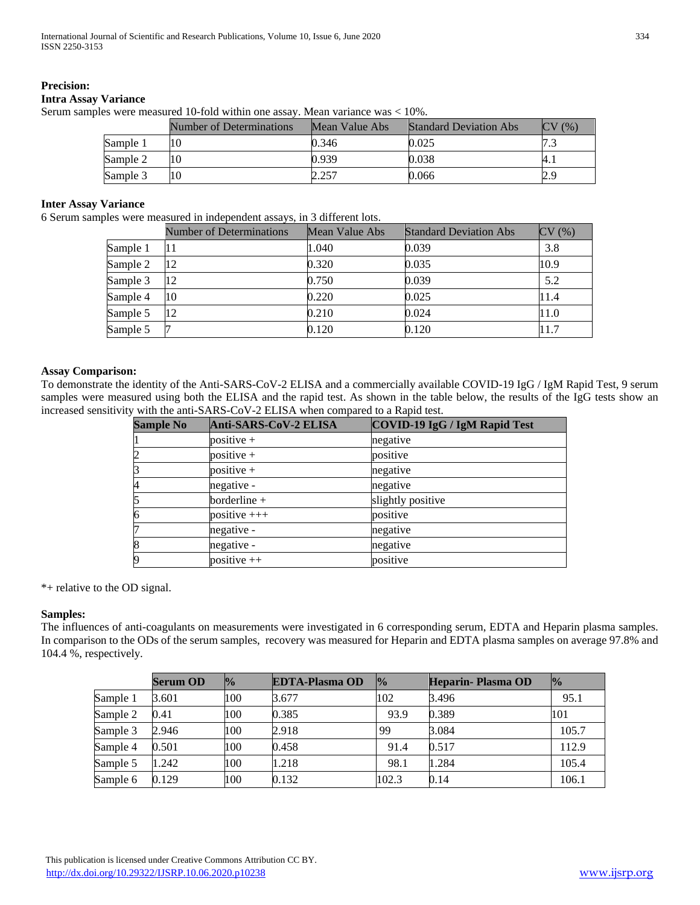## **Precision:**

# **Intra Assay Variance**

Serum samples were measured 10-fold within one assay. Mean variance was < 10%.

|          | Number of Determinations | Mean Value Abs | <b>Standard Deviation Abs</b> | CV<br>(96) |
|----------|--------------------------|----------------|-------------------------------|------------|
| Sample 1 | 10                       | 0.346          | 0.025                         |            |
| Sample 2 | 10                       | 0.939          | 0.038                         | $A_{.1}$   |
| Sample 3 | 10                       | 2.257          | 0.066                         | 2.9        |

#### **Inter Assay Variance**

6 Serum samples were measured in independent assays, in 3 different lots.

|          | Number of Determinations | Mean Value Abs | <b>Standard Deviation Abs</b> | CV(%) |
|----------|--------------------------|----------------|-------------------------------|-------|
| Sample 1 | 11                       | 1.040          | 0.039                         | 3.8   |
| Sample 2 | 12                       | 0.320          | 0.035                         | 10.9  |
| Sample 3 | 12                       | 0.750          | 0.039                         | 5.2   |
| Sample 4 | 10                       | 0.220          | 0.025                         | 11.4  |
| Sample 5 | 12                       | 0.210          | 0.024                         | 11.0  |
| Sample 5 |                          | 0.120          | 0.120                         | 11.7  |

# **Assay Comparison:**

To demonstrate the identity of the Anti-SARS-CoV-2 ELISA and a commercially available COVID-19 IgG / IgM Rapid Test, 9 serum samples were measured using both the ELISA and the rapid test. As shown in the table below, the results of the IgG tests show an increased sensitivity with the anti-SARS-CoV-2 ELISA when compared to a Rapid test.

| <b>Sample No</b> | Anti-SARS-CoV-2 ELISA | COVID-19 IgG / IgM Rapid Test |  |  |
|------------------|-----------------------|-------------------------------|--|--|
|                  | $positive +$          | negative                      |  |  |
| 2                | $positive +$          | positive                      |  |  |
| 3                | $positive +$          | negative                      |  |  |
| $\overline{A}$   | negative -            | negative                      |  |  |
| 5                | borderline $+$        | slightly positive             |  |  |
| $\overline{6}$   | positive $++$         | positive                      |  |  |
|                  | negative -            | negative                      |  |  |
| 8                | negative -            | negative                      |  |  |
| 9                | positive $++$         | positive                      |  |  |

\*+ relative to the OD signal.

## **Samples:**

The influences of anti-coagulants on measurements were investigated in 6 corresponding serum, EDTA and Heparin plasma samples. In comparison to the ODs of the serum samples, recovery was measured for Heparin and EDTA plasma samples on average 97.8% and 104.4 %, respectively.

|          | Serum OD | $\frac{1}{2}$ | <b>EDTA-Plasma OD</b> | $\frac{1}{2}$ | Heparin-Plasma OD | $\frac{1}{2}$ |
|----------|----------|---------------|-----------------------|---------------|-------------------|---------------|
| Sample 1 | 3.601    | 100           | 3.677                 | 102           | 3.496             | 95.1          |
| Sample 2 | 0.41     | 100           | 0.385                 | 93.9          | 0.389             | 101           |
| Sample 3 | 2.946    | 100           | 2.918                 | 99            | 3.084             | 105.7         |
| Sample 4 | 0.501    | 100           | 0.458                 | 91.4          | 0.517             | 112.9         |
| Sample 5 | 1.242    | 100           | 1.218                 | 98.1          | 1.284             | 105.4         |
| Sample 6 | 0.129    | 100           | 0.132                 | 102.3         | 0.14              | 106.1         |